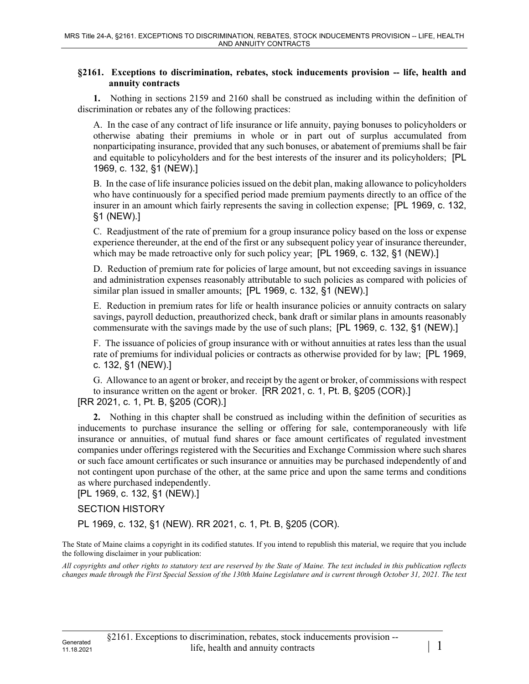## **§2161. Exceptions to discrimination, rebates, stock inducements provision -- life, health and annuity contracts**

**1.** Nothing in sections 2159 and 2160 shall be construed as including within the definition of discrimination or rebates any of the following practices:

A. In the case of any contract of life insurance or life annuity, paying bonuses to policyholders or otherwise abating their premiums in whole or in part out of surplus accumulated from nonparticipating insurance, provided that any such bonuses, or abatement of premiums shall be fair and equitable to policyholders and for the best interests of the insurer and its policyholders; [PL 1969, c. 132, §1 (NEW).]

B. In the case of life insurance policies issued on the debit plan, making allowance to policyholders who have continuously for a specified period made premium payments directly to an office of the insurer in an amount which fairly represents the saving in collection expense; [PL 1969, c. 132, §1 (NEW).]

C. Readjustment of the rate of premium for a group insurance policy based on the loss or expense experience thereunder, at the end of the first or any subsequent policy year of insurance thereunder, which may be made retroactive only for such policy year; [PL 1969, c. 132, §1 (NEW).]

D. Reduction of premium rate for policies of large amount, but not exceeding savings in issuance and administration expenses reasonably attributable to such policies as compared with policies of similar plan issued in smaller amounts; [PL 1969, c. 132, §1 (NEW).]

E. Reduction in premium rates for life or health insurance policies or annuity contracts on salary savings, payroll deduction, preauthorized check, bank draft or similar plans in amounts reasonably commensurate with the savings made by the use of such plans; [PL 1969, c. 132, §1 (NEW).]

F. The issuance of policies of group insurance with or without annuities at rates less than the usual rate of premiums for individual policies or contracts as otherwise provided for by law; [PL 1969, c. 132, §1 (NEW).]

G. Allowance to an agent or broker, and receipt by the agent or broker, of commissions with respect to insurance written on the agent or broker. [RR 2021, c. 1, Pt. B, §205 (COR).] [RR 2021, c. 1, Pt. B, §205 (COR).]

**2.** Nothing in this chapter shall be construed as including within the definition of securities as inducements to purchase insurance the selling or offering for sale, contemporaneously with life insurance or annuities, of mutual fund shares or face amount certificates of regulated investment companies under offerings registered with the Securities and Exchange Commission where such shares or such face amount certificates or such insurance or annuities may be purchased independently of and not contingent upon purchase of the other, at the same price and upon the same terms and conditions as where purchased independently.

[PL 1969, c. 132, §1 (NEW).]

## SECTION HISTORY

PL 1969, c. 132, §1 (NEW). RR 2021, c. 1, Pt. B, §205 (COR).

The State of Maine claims a copyright in its codified statutes. If you intend to republish this material, we require that you include the following disclaimer in your publication:

*All copyrights and other rights to statutory text are reserved by the State of Maine. The text included in this publication reflects changes made through the First Special Session of the 130th Maine Legislature and is current through October 31, 2021. The text*